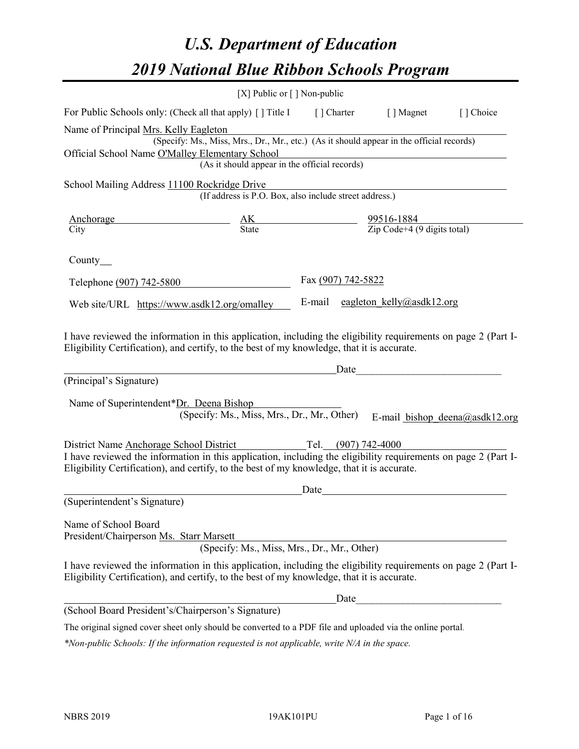# *U.S. Department of Education 2019 National Blue Ribbon Schools Program*

|                                                                                                                                                                                                                                                         | [X] Public or [] Non-public                                                              |                                                                     |                                                         |                                |
|---------------------------------------------------------------------------------------------------------------------------------------------------------------------------------------------------------------------------------------------------------|------------------------------------------------------------------------------------------|---------------------------------------------------------------------|---------------------------------------------------------|--------------------------------|
| For Public Schools only: (Check all that apply) [] Title I [] Charter                                                                                                                                                                                   |                                                                                          |                                                                     | [ ] Magnet                                              | [] Choice                      |
| Name of Principal Mrs. Kelly Eagleton                                                                                                                                                                                                                   | (Specify: Ms., Miss, Mrs., Dr., Mr., etc.) (As it should appear in the official records) |                                                                     |                                                         |                                |
| Official School Name O'Malley Elementary School                                                                                                                                                                                                         | (As it should appear in the official records)                                            |                                                                     |                                                         |                                |
|                                                                                                                                                                                                                                                         |                                                                                          |                                                                     |                                                         |                                |
| School Mailing Address 11100 Rockridge Drive                                                                                                                                                                                                            | (If address is P.O. Box, also include street address.)                                   |                                                                     |                                                         |                                |
| Anchorage<br>City                                                                                                                                                                                                                                       |                                                                                          | $\frac{AK}{State}$ $\frac{99516-1884}{Zip Code+4 (9 digits total)}$ |                                                         |                                |
|                                                                                                                                                                                                                                                         |                                                                                          |                                                                     |                                                         |                                |
| County $\_\_$                                                                                                                                                                                                                                           |                                                                                          |                                                                     |                                                         |                                |
| Telephone (907) 742-5800                                                                                                                                                                                                                                |                                                                                          | Fax (907) 742-5822                                                  |                                                         |                                |
| Web site/URL https://www.asdk12.org/omalley                                                                                                                                                                                                             |                                                                                          |                                                                     | E-mail eagleton kelly@asdk12.org                        |                                |
| I have reviewed the information in this application, including the eligibility requirements on page 2 (Part I-<br>Eligibility Certification), and certify, to the best of my knowledge, that it is accurate.                                            |                                                                                          |                                                                     | <u>Date</u>                                             |                                |
| (Principal's Signature)                                                                                                                                                                                                                                 |                                                                                          |                                                                     |                                                         |                                |
| Name of Superintendent*Dr. Deena Bishop                                                                                                                                                                                                                 | (Specify: Ms., Miss, Mrs., Dr., Mr., Other)                                              |                                                                     |                                                         | E-mail bishop deena@asdk12.org |
| District Name Anchorage School District<br>I have reviewed the information in this application, including the eligibility requirements on page 2 (Part I-<br>Eligibility Certification), and certify, to the best of my knowledge, that it is accurate. |                                                                                          | Tel. $(907)$ 742-4000                                               |                                                         |                                |
|                                                                                                                                                                                                                                                         |                                                                                          | Date                                                                |                                                         |                                |
| (Superintendent's Signature)                                                                                                                                                                                                                            |                                                                                          |                                                                     |                                                         |                                |
| Name of School Board<br>President/Chairperson Ms. Starr Marsett                                                                                                                                                                                         | (Specify: Ms., Miss, Mrs., Dr., Mr., Other)                                              |                                                                     |                                                         |                                |
| I have reviewed the information in this application, including the eligibility requirements on page 2 (Part I-<br>Eligibility Certification), and certify, to the best of my knowledge, that it is accurate.                                            |                                                                                          |                                                                     |                                                         |                                |
|                                                                                                                                                                                                                                                         |                                                                                          | Date                                                                | <u> 1980 - Johann Barbara, martin amerikan basar da</u> |                                |
| (School Board President's/Chairperson's Signature)                                                                                                                                                                                                      |                                                                                          |                                                                     |                                                         |                                |
| The original signed cover sheet only should be converted to a PDF file and uploaded via the online portal.                                                                                                                                              |                                                                                          |                                                                     |                                                         |                                |

*\*Non-public Schools: If the information requested is not applicable, write N/A in the space.*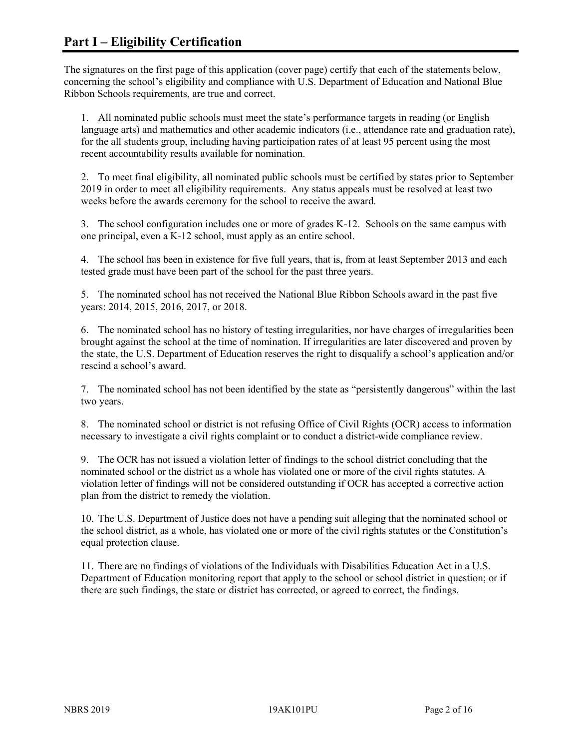The signatures on the first page of this application (cover page) certify that each of the statements below, concerning the school's eligibility and compliance with U.S. Department of Education and National Blue Ribbon Schools requirements, are true and correct.

1. All nominated public schools must meet the state's performance targets in reading (or English language arts) and mathematics and other academic indicators (i.e., attendance rate and graduation rate), for the all students group, including having participation rates of at least 95 percent using the most recent accountability results available for nomination.

2. To meet final eligibility, all nominated public schools must be certified by states prior to September 2019 in order to meet all eligibility requirements. Any status appeals must be resolved at least two weeks before the awards ceremony for the school to receive the award.

3. The school configuration includes one or more of grades K-12. Schools on the same campus with one principal, even a K-12 school, must apply as an entire school.

4. The school has been in existence for five full years, that is, from at least September 2013 and each tested grade must have been part of the school for the past three years.

5. The nominated school has not received the National Blue Ribbon Schools award in the past five years: 2014, 2015, 2016, 2017, or 2018.

6. The nominated school has no history of testing irregularities, nor have charges of irregularities been brought against the school at the time of nomination. If irregularities are later discovered and proven by the state, the U.S. Department of Education reserves the right to disqualify a school's application and/or rescind a school's award.

7. The nominated school has not been identified by the state as "persistently dangerous" within the last two years.

8. The nominated school or district is not refusing Office of Civil Rights (OCR) access to information necessary to investigate a civil rights complaint or to conduct a district-wide compliance review.

9. The OCR has not issued a violation letter of findings to the school district concluding that the nominated school or the district as a whole has violated one or more of the civil rights statutes. A violation letter of findings will not be considered outstanding if OCR has accepted a corrective action plan from the district to remedy the violation.

10. The U.S. Department of Justice does not have a pending suit alleging that the nominated school or the school district, as a whole, has violated one or more of the civil rights statutes or the Constitution's equal protection clause.

11. There are no findings of violations of the Individuals with Disabilities Education Act in a U.S. Department of Education monitoring report that apply to the school or school district in question; or if there are such findings, the state or district has corrected, or agreed to correct, the findings.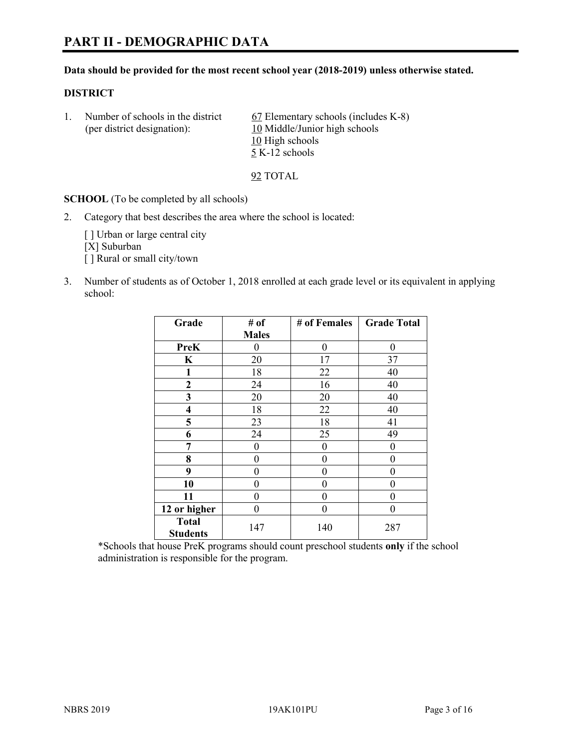#### **Data should be provided for the most recent school year (2018-2019) unless otherwise stated.**

#### **DISTRICT**

1. Number of schools in the district  $67$  Elementary schools (includes K-8) (per district designation): 10 Middle/Junior high schools 10 High schools 5 K-12 schools

92 TOTAL

**SCHOOL** (To be completed by all schools)

2. Category that best describes the area where the school is located:

[ ] Urban or large central city [X] Suburban [] Rural or small city/town

3. Number of students as of October 1, 2018 enrolled at each grade level or its equivalent in applying school:

| Grade                   | # of         | # of Females | <b>Grade Total</b> |
|-------------------------|--------------|--------------|--------------------|
|                         | <b>Males</b> |              |                    |
| <b>PreK</b>             | 0            | $\theta$     | 0                  |
| $\mathbf K$             | 20           | 17           | 37                 |
| 1                       | 18           | 22           | 40                 |
| 2                       | 24           | 16           | 40                 |
| 3                       | 20           | 20           | 40                 |
| $\overline{\mathbf{4}}$ | 18           | 22           | 40                 |
| 5                       | 23           | 18           | 41                 |
| 6                       | 24           | 25           | 49                 |
| 7                       | 0            | $\theta$     | 0                  |
| 8                       | 0            | $\theta$     | 0                  |
| 9                       | 0            | $\theta$     | 0                  |
| 10                      | 0            | 0            | 0                  |
| 11                      | 0            | 0            | 0                  |
| 12 or higher            | 0            | 0            | 0                  |
| <b>Total</b>            | 147          | 140          | 287                |
| <b>Students</b>         |              |              |                    |

\*Schools that house PreK programs should count preschool students **only** if the school administration is responsible for the program.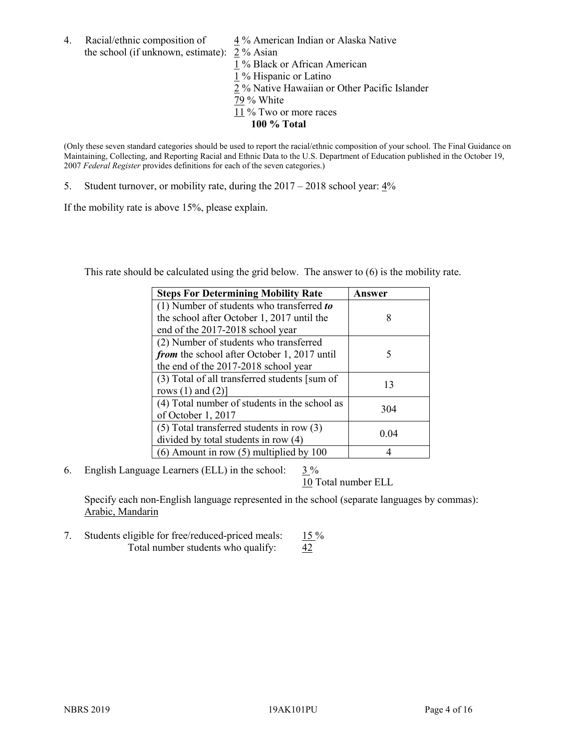4. Racial/ethnic composition of  $\frac{4\%}{4}$  American Indian or Alaska Native the school (if unknown, estimate): 2 % Asian

 % Black or African American % Hispanic or Latino % Native Hawaiian or Other Pacific Islander 79 % White % Two or more races **100 % Total**

(Only these seven standard categories should be used to report the racial/ethnic composition of your school. The Final Guidance on Maintaining, Collecting, and Reporting Racial and Ethnic Data to the U.S. Department of Education published in the October 19, 2007 *Federal Register* provides definitions for each of the seven categories.)

5. Student turnover, or mobility rate, during the 2017 – 2018 school year: 4%

If the mobility rate is above 15%, please explain.

This rate should be calculated using the grid below. The answer to (6) is the mobility rate.

| <b>Steps For Determining Mobility Rate</b>    | Answer |
|-----------------------------------------------|--------|
| (1) Number of students who transferred to     |        |
| the school after October 1, 2017 until the    | 8      |
| end of the 2017-2018 school year              |        |
| (2) Number of students who transferred        |        |
| from the school after October 1, 2017 until   | 5      |
| the end of the 2017-2018 school year          |        |
| (3) Total of all transferred students [sum of | 13     |
| rows $(1)$ and $(2)$ ]                        |        |
| (4) Total number of students in the school as |        |
| of October 1, 2017                            | 304    |
| $(5)$ Total transferred students in row $(3)$ |        |
| divided by total students in row (4)          | 0.04   |
| (6) Amount in row (5) multiplied by 100       |        |

6. English Language Learners (ELL) in the school:  $3\%$ 

10 Total number ELL

Specify each non-English language represented in the school (separate languages by commas): Arabic, Mandarin

7. Students eligible for free/reduced-priced meals: 15 % Total number students who qualify:  $\frac{42}{5}$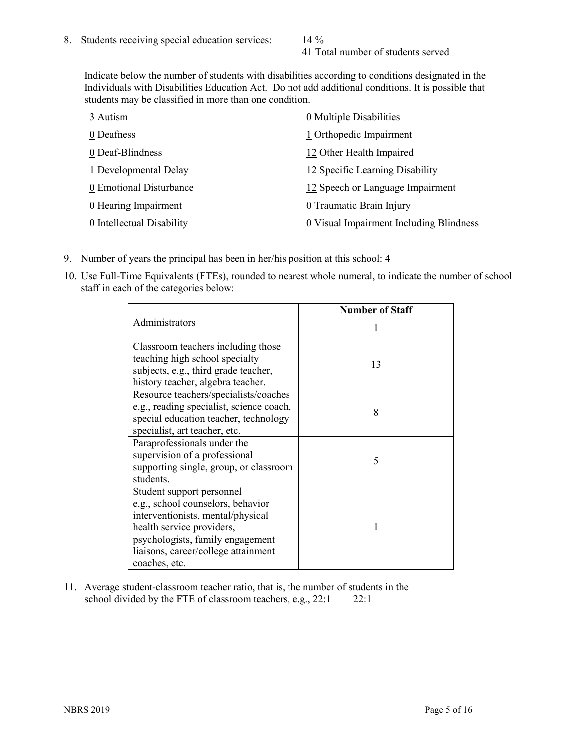41 Total number of students served

Indicate below the number of students with disabilities according to conditions designated in the Individuals with Disabilities Education Act. Do not add additional conditions. It is possible that students may be classified in more than one condition.

| 3 Autism                  | 0 Multiple Disabilities                 |
|---------------------------|-----------------------------------------|
| 0 Deafness                | 1 Orthopedic Impairment                 |
| 0 Deaf-Blindness          | 12 Other Health Impaired                |
| 1 Developmental Delay     | 12 Specific Learning Disability         |
| 0 Emotional Disturbance   | 12 Speech or Language Impairment        |
| 0 Hearing Impairment      | 0 Traumatic Brain Injury                |
| 0 Intellectual Disability | 0 Visual Impairment Including Blindness |

- 9. Number of years the principal has been in her/his position at this school:  $\frac{4}{3}$
- 10. Use Full-Time Equivalents (FTEs), rounded to nearest whole numeral, to indicate the number of school staff in each of the categories below:

|                                                                                                                                                                                                                              | <b>Number of Staff</b> |
|------------------------------------------------------------------------------------------------------------------------------------------------------------------------------------------------------------------------------|------------------------|
| Administrators                                                                                                                                                                                                               |                        |
| Classroom teachers including those<br>teaching high school specialty<br>subjects, e.g., third grade teacher,<br>history teacher, algebra teacher.                                                                            | 13                     |
| Resource teachers/specialists/coaches<br>e.g., reading specialist, science coach,<br>special education teacher, technology<br>specialist, art teacher, etc.                                                                  | 8                      |
| Paraprofessionals under the<br>supervision of a professional<br>supporting single, group, or classroom<br>students.                                                                                                          | 5                      |
| Student support personnel<br>e.g., school counselors, behavior<br>interventionists, mental/physical<br>health service providers,<br>psychologists, family engagement<br>liaisons, career/college attainment<br>coaches, etc. |                        |

11. Average student-classroom teacher ratio, that is, the number of students in the school divided by the FTE of classroom teachers, e.g.,  $22:1$  22:1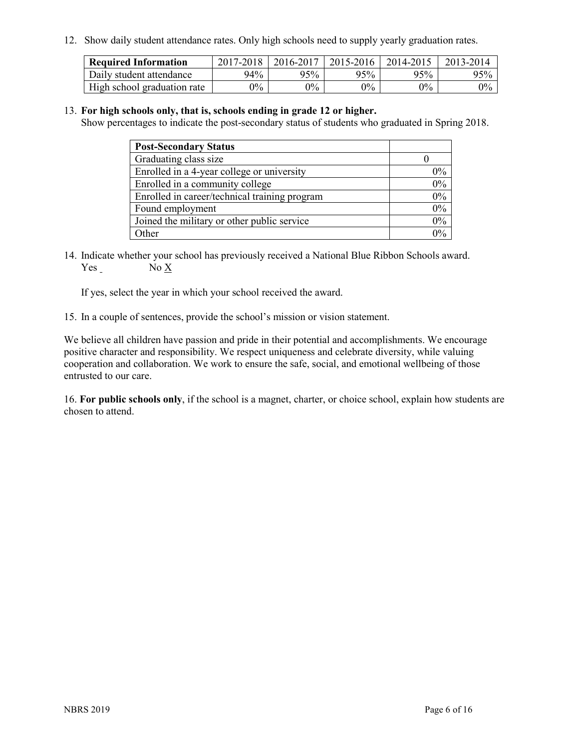12. Show daily student attendance rates. Only high schools need to supply yearly graduation rates.

| <b>Required Information</b> | 2017-2018 | 2016-2017 | 2015-2016 | 2014-2015 | 2013-2014 |
|-----------------------------|-----------|-----------|-----------|-----------|-----------|
| Daily student attendance    | 94%       | 95%       | 95%       | 95%       | 95%       |
| High school graduation rate | $0\%$     | $0\%$     | $0\%$     | $9\%$     | $0\%$     |

#### 13. **For high schools only, that is, schools ending in grade 12 or higher.**

Show percentages to indicate the post-secondary status of students who graduated in Spring 2018.

| <b>Post-Secondary Status</b>                  |       |
|-----------------------------------------------|-------|
| Graduating class size                         |       |
| Enrolled in a 4-year college or university    | $0\%$ |
| Enrolled in a community college               | 0%    |
| Enrolled in career/technical training program | 0%    |
| Found employment                              | 0%    |
| Joined the military or other public service   | 0%    |
| Other                                         | በ%    |

14. Indicate whether your school has previously received a National Blue Ribbon Schools award. Yes No X

If yes, select the year in which your school received the award.

15. In a couple of sentences, provide the school's mission or vision statement.

We believe all children have passion and pride in their potential and accomplishments. We encourage positive character and responsibility. We respect uniqueness and celebrate diversity, while valuing cooperation and collaboration. We work to ensure the safe, social, and emotional wellbeing of those entrusted to our care.

16. **For public schools only**, if the school is a magnet, charter, or choice school, explain how students are chosen to attend.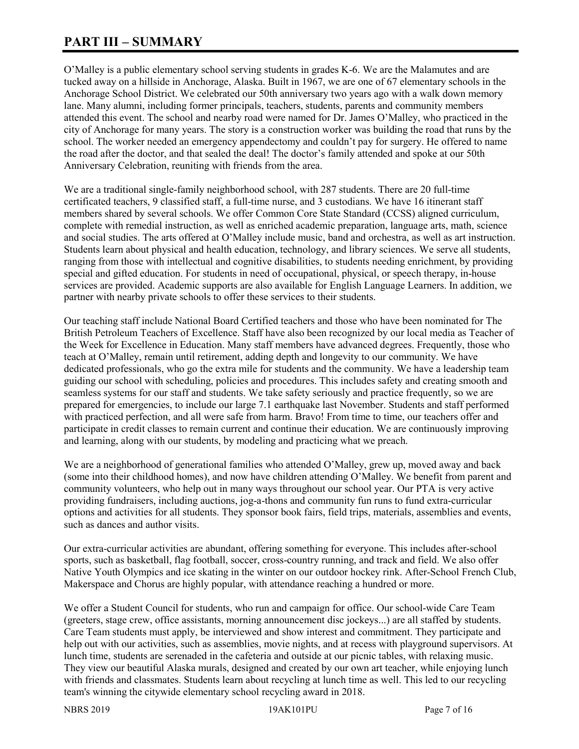# **PART III – SUMMARY**

O'Malley is a public elementary school serving students in grades K-6. We are the Malamutes and are tucked away on a hillside in Anchorage, Alaska. Built in 1967, we are one of 67 elementary schools in the Anchorage School District. We celebrated our 50th anniversary two years ago with a walk down memory lane. Many alumni, including former principals, teachers, students, parents and community members attended this event. The school and nearby road were named for Dr. James O'Malley, who practiced in the city of Anchorage for many years. The story is a construction worker was building the road that runs by the school. The worker needed an emergency appendectomy and couldn't pay for surgery. He offered to name the road after the doctor, and that sealed the deal! The doctor's family attended and spoke at our 50th Anniversary Celebration, reuniting with friends from the area.

We are a traditional single-family neighborhood school, with 287 students. There are 20 full-time certificated teachers, 9 classified staff, a full-time nurse, and 3 custodians. We have 16 itinerant staff members shared by several schools. We offer Common Core State Standard (CCSS) aligned curriculum, complete with remedial instruction, as well as enriched academic preparation, language arts, math, science and social studies. The arts offered at O'Malley include music, band and orchestra, as well as art instruction. Students learn about physical and health education, technology, and library sciences. We serve all students, ranging from those with intellectual and cognitive disabilities, to students needing enrichment, by providing special and gifted education. For students in need of occupational, physical, or speech therapy, in-house services are provided. Academic supports are also available for English Language Learners. In addition, we partner with nearby private schools to offer these services to their students.

Our teaching staff include National Board Certified teachers and those who have been nominated for The British Petroleum Teachers of Excellence. Staff have also been recognized by our local media as Teacher of the Week for Excellence in Education. Many staff members have advanced degrees. Frequently, those who teach at O'Malley, remain until retirement, adding depth and longevity to our community. We have dedicated professionals, who go the extra mile for students and the community. We have a leadership team guiding our school with scheduling, policies and procedures. This includes safety and creating smooth and seamless systems for our staff and students. We take safety seriously and practice frequently, so we are prepared for emergencies, to include our large 7.1 earthquake last November. Students and staff performed with practiced perfection, and all were safe from harm. Bravo! From time to time, our teachers offer and participate in credit classes to remain current and continue their education. We are continuously improving and learning, along with our students, by modeling and practicing what we preach.

We are a neighborhood of generational families who attended O'Malley, grew up, moved away and back (some into their childhood homes), and now have children attending O'Malley. We benefit from parent and community volunteers, who help out in many ways throughout our school year. Our PTA is very active providing fundraisers, including auctions, jog-a-thons and community fun runs to fund extra-curricular options and activities for all students. They sponsor book fairs, field trips, materials, assemblies and events, such as dances and author visits.

Our extra-curricular activities are abundant, offering something for everyone. This includes after-school sports, such as basketball, flag football, soccer, cross-country running, and track and field. We also offer Native Youth Olympics and ice skating in the winter on our outdoor hockey rink. After-School French Club, Makerspace and Chorus are highly popular, with attendance reaching a hundred or more.

We offer a Student Council for students, who run and campaign for office. Our school-wide Care Team (greeters, stage crew, office assistants, morning announcement disc jockeys...) are all staffed by students. Care Team students must apply, be interviewed and show interest and commitment. They participate and help out with our activities, such as assemblies, movie nights, and at recess with playground supervisors. At lunch time, students are serenaded in the cafeteria and outside at our picnic tables, with relaxing music. They view our beautiful Alaska murals, designed and created by our own art teacher, while enjoying lunch with friends and classmates. Students learn about recycling at lunch time as well. This led to our recycling team's winning the citywide elementary school recycling award in 2018.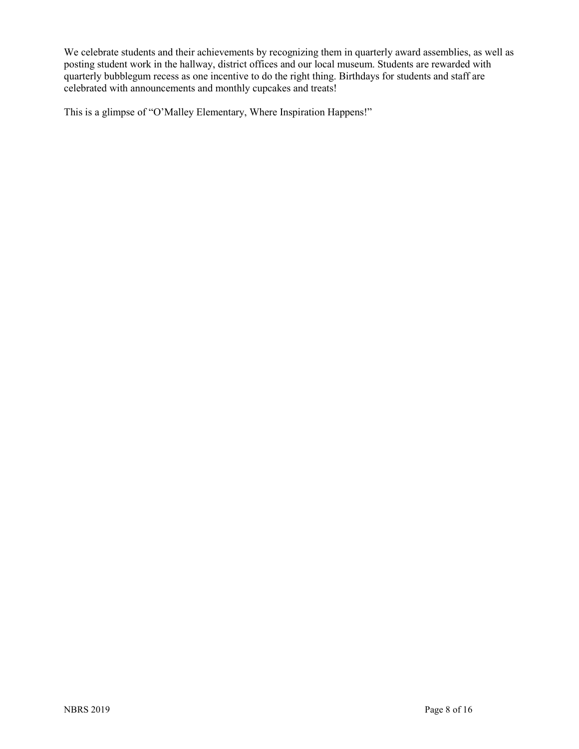We celebrate students and their achievements by recognizing them in quarterly award assemblies, as well as posting student work in the hallway, district offices and our local museum. Students are rewarded with quarterly bubblegum recess as one incentive to do the right thing. Birthdays for students and staff are celebrated with announcements and monthly cupcakes and treats!

This is a glimpse of "O'Malley Elementary, Where Inspiration Happens!"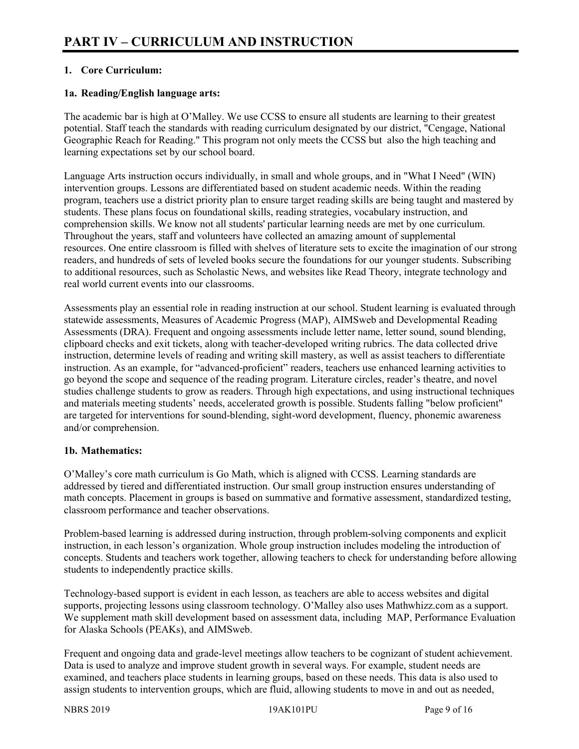# **1. Core Curriculum:**

## **1a. Reading/English language arts:**

The academic bar is high at O'Malley. We use CCSS to ensure all students are learning to their greatest potential. Staff teach the standards with reading curriculum designated by our district, "Cengage, National Geographic Reach for Reading." This program not only meets the CCSS but also the high teaching and learning expectations set by our school board.

Language Arts instruction occurs individually, in small and whole groups, and in "What I Need" (WIN) intervention groups. Lessons are differentiated based on student academic needs. Within the reading program, teachers use a district priority plan to ensure target reading skills are being taught and mastered by students. These plans focus on foundational skills, reading strategies, vocabulary instruction, and comprehension skills. We know not all students' particular learning needs are met by one curriculum. Throughout the years, staff and volunteers have collected an amazing amount of supplemental resources. One entire classroom is filled with shelves of literature sets to excite the imagination of our strong readers, and hundreds of sets of leveled books secure the foundations for our younger students. Subscribing to additional resources, such as Scholastic News, and websites like Read Theory, integrate technology and real world current events into our classrooms.

Assessments play an essential role in reading instruction at our school. Student learning is evaluated through statewide assessments, Measures of Academic Progress (MAP), AIMSweb and Developmental Reading Assessments (DRA). Frequent and ongoing assessments include letter name, letter sound, sound blending, clipboard checks and exit tickets, along with teacher-developed writing rubrics. The data collected drive instruction, determine levels of reading and writing skill mastery, as well as assist teachers to differentiate instruction. As an example, for "advanced-proficient" readers, teachers use enhanced learning activities to go beyond the scope and sequence of the reading program. Literature circles, reader's theatre, and novel studies challenge students to grow as readers. Through high expectations, and using instructional techniques and materials meeting students' needs, accelerated growth is possible. Students falling "below proficient" are targeted for interventions for sound-blending, sight-word development, fluency, phonemic awareness and/or comprehension.

#### **1b. Mathematics:**

O'Malley's core math curriculum is Go Math, which is aligned with CCSS. Learning standards are addressed by tiered and differentiated instruction. Our small group instruction ensures understanding of math concepts. Placement in groups is based on summative and formative assessment, standardized testing, classroom performance and teacher observations.

Problem-based learning is addressed during instruction, through problem-solving components and explicit instruction, in each lesson's organization. Whole group instruction includes modeling the introduction of concepts. Students and teachers work together, allowing teachers to check for understanding before allowing students to independently practice skills.

Technology-based support is evident in each lesson, as teachers are able to access websites and digital supports, projecting lessons using classroom technology. O'Malley also uses Mathwhizz.com as a support. We supplement math skill development based on assessment data, including MAP, Performance Evaluation for Alaska Schools (PEAKs), and AIMSweb.

Frequent and ongoing data and grade-level meetings allow teachers to be cognizant of student achievement. Data is used to analyze and improve student growth in several ways. For example, student needs are examined, and teachers place students in learning groups, based on these needs. This data is also used to assign students to intervention groups, which are fluid, allowing students to move in and out as needed,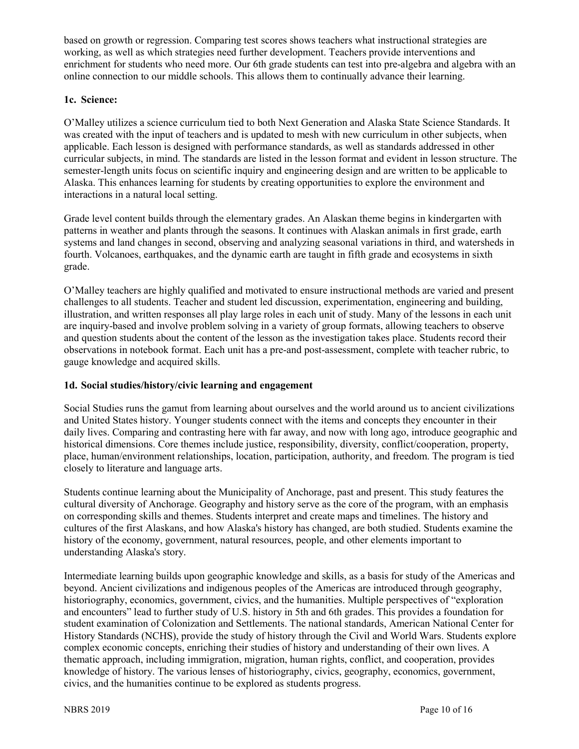based on growth or regression. Comparing test scores shows teachers what instructional strategies are working, as well as which strategies need further development. Teachers provide interventions and enrichment for students who need more. Our 6th grade students can test into pre-algebra and algebra with an online connection to our middle schools. This allows them to continually advance their learning.

# **1c. Science:**

O'Malley utilizes a science curriculum tied to both Next Generation and Alaska State Science Standards. It was created with the input of teachers and is updated to mesh with new curriculum in other subjects, when applicable. Each lesson is designed with performance standards, as well as standards addressed in other curricular subjects, in mind. The standards are listed in the lesson format and evident in lesson structure. The semester-length units focus on scientific inquiry and engineering design and are written to be applicable to Alaska. This enhances learning for students by creating opportunities to explore the environment and interactions in a natural local setting.

Grade level content builds through the elementary grades. An Alaskan theme begins in kindergarten with patterns in weather and plants through the seasons. It continues with Alaskan animals in first grade, earth systems and land changes in second, observing and analyzing seasonal variations in third, and watersheds in fourth. Volcanoes, earthquakes, and the dynamic earth are taught in fifth grade and ecosystems in sixth grade.

O'Malley teachers are highly qualified and motivated to ensure instructional methods are varied and present challenges to all students. Teacher and student led discussion, experimentation, engineering and building, illustration, and written responses all play large roles in each unit of study. Many of the lessons in each unit are inquiry-based and involve problem solving in a variety of group formats, allowing teachers to observe and question students about the content of the lesson as the investigation takes place. Students record their observations in notebook format. Each unit has a pre-and post-assessment, complete with teacher rubric, to gauge knowledge and acquired skills.

# **1d. Social studies/history/civic learning and engagement**

Social Studies runs the gamut from learning about ourselves and the world around us to ancient civilizations and United States history. Younger students connect with the items and concepts they encounter in their daily lives. Comparing and contrasting here with far away, and now with long ago, introduce geographic and historical dimensions. Core themes include justice, responsibility, diversity, conflict/cooperation, property, place, human/environment relationships, location, participation, authority, and freedom. The program is tied closely to literature and language arts.

Students continue learning about the Municipality of Anchorage, past and present. This study features the cultural diversity of Anchorage. Geography and history serve as the core of the program, with an emphasis on corresponding skills and themes. Students interpret and create maps and timelines. The history and cultures of the first Alaskans, and how Alaska's history has changed, are both studied. Students examine the history of the economy, government, natural resources, people, and other elements important to understanding Alaska's story.

Intermediate learning builds upon geographic knowledge and skills, as a basis for study of the Americas and beyond. Ancient civilizations and indigenous peoples of the Americas are introduced through geography, historiography, economics, government, civics, and the humanities. Multiple perspectives of "exploration and encounters" lead to further study of U.S. history in 5th and 6th grades. This provides a foundation for student examination of Colonization and Settlements. The national standards, American National Center for History Standards (NCHS), provide the study of history through the Civil and World Wars. Students explore complex economic concepts, enriching their studies of history and understanding of their own lives. A thematic approach, including immigration, migration, human rights, conflict, and cooperation, provides knowledge of history. The various lenses of historiography, civics, geography, economics, government, civics, and the humanities continue to be explored as students progress.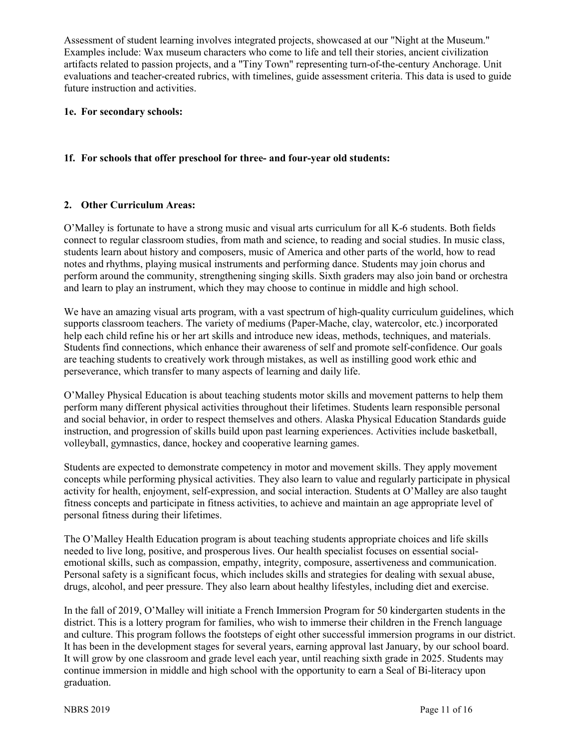Assessment of student learning involves integrated projects, showcased at our "Night at the Museum." Examples include: Wax museum characters who come to life and tell their stories, ancient civilization artifacts related to passion projects, and a "Tiny Town" representing turn-of-the-century Anchorage. Unit evaluations and teacher-created rubrics, with timelines, guide assessment criteria. This data is used to guide future instruction and activities.

#### **1e. For secondary schools:**

## **1f. For schools that offer preschool for three- and four-year old students:**

#### **2. Other Curriculum Areas:**

O'Malley is fortunate to have a strong music and visual arts curriculum for all K-6 students. Both fields connect to regular classroom studies, from math and science, to reading and social studies. In music class, students learn about history and composers, music of America and other parts of the world, how to read notes and rhythms, playing musical instruments and performing dance. Students may join chorus and perform around the community, strengthening singing skills. Sixth graders may also join band or orchestra and learn to play an instrument, which they may choose to continue in middle and high school.

We have an amazing visual arts program, with a vast spectrum of high-quality curriculum guidelines, which supports classroom teachers. The variety of mediums (Paper-Mache, clay, watercolor, etc.) incorporated help each child refine his or her art skills and introduce new ideas, methods, techniques, and materials. Students find connections, which enhance their awareness of self and promote self-confidence. Our goals are teaching students to creatively work through mistakes, as well as instilling good work ethic and perseverance, which transfer to many aspects of learning and daily life.

O'Malley Physical Education is about teaching students motor skills and movement patterns to help them perform many different physical activities throughout their lifetimes. Students learn responsible personal and social behavior, in order to respect themselves and others. Alaska Physical Education Standards guide instruction, and progression of skills build upon past learning experiences. Activities include basketball, volleyball, gymnastics, dance, hockey and cooperative learning games.

Students are expected to demonstrate competency in motor and movement skills. They apply movement concepts while performing physical activities. They also learn to value and regularly participate in physical activity for health, enjoyment, self-expression, and social interaction. Students at O'Malley are also taught fitness concepts and participate in fitness activities, to achieve and maintain an age appropriate level of personal fitness during their lifetimes.

The O'Malley Health Education program is about teaching students appropriate choices and life skills needed to live long, positive, and prosperous lives. Our health specialist focuses on essential socialemotional skills, such as compassion, empathy, integrity, composure, assertiveness and communication. Personal safety is a significant focus, which includes skills and strategies for dealing with sexual abuse, drugs, alcohol, and peer pressure. They also learn about healthy lifestyles, including diet and exercise.

In the fall of 2019, O'Malley will initiate a French Immersion Program for 50 kindergarten students in the district. This is a lottery program for families, who wish to immerse their children in the French language and culture. This program follows the footsteps of eight other successful immersion programs in our district. It has been in the development stages for several years, earning approval last January, by our school board. It will grow by one classroom and grade level each year, until reaching sixth grade in 2025. Students may continue immersion in middle and high school with the opportunity to earn a Seal of Bi-literacy upon graduation.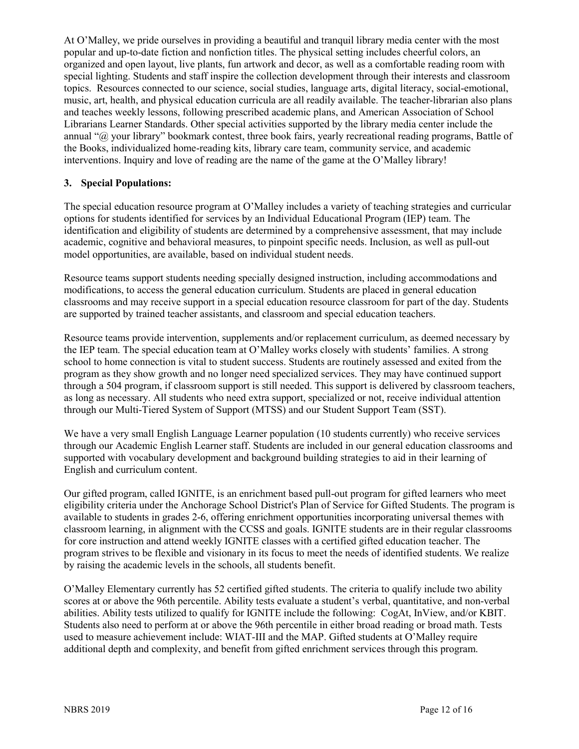At O'Malley, we pride ourselves in providing a beautiful and tranquil library media center with the most popular and up-to-date fiction and nonfiction titles. The physical setting includes cheerful colors, an organized and open layout, live plants, fun artwork and decor, as well as a comfortable reading room with special lighting. Students and staff inspire the collection development through their interests and classroom topics. Resources connected to our science, social studies, language arts, digital literacy, social-emotional, music, art, health, and physical education curricula are all readily available. The teacher-librarian also plans and teaches weekly lessons, following prescribed academic plans, and American Association of School Librarians Learner Standards. Other special activities supported by the library media center include the annual "@ your library" bookmark contest, three book fairs, yearly recreational reading programs, Battle of the Books, individualized home-reading kits, library care team, community service, and academic interventions. Inquiry and love of reading are the name of the game at the O'Malley library!

#### **3. Special Populations:**

The special education resource program at O'Malley includes a variety of teaching strategies and curricular options for students identified for services by an Individual Educational Program (IEP) team. The identification and eligibility of students are determined by a comprehensive assessment, that may include academic, cognitive and behavioral measures, to pinpoint specific needs. Inclusion, as well as pull-out model opportunities, are available, based on individual student needs.

Resource teams support students needing specially designed instruction, including accommodations and modifications, to access the general education curriculum. Students are placed in general education classrooms and may receive support in a special education resource classroom for part of the day. Students are supported by trained teacher assistants, and classroom and special education teachers.

Resource teams provide intervention, supplements and/or replacement curriculum, as deemed necessary by the IEP team. The special education team at O'Malley works closely with students' families. A strong school to home connection is vital to student success. Students are routinely assessed and exited from the program as they show growth and no longer need specialized services. They may have continued support through a 504 program, if classroom support is still needed. This support is delivered by classroom teachers, as long as necessary. All students who need extra support, specialized or not, receive individual attention through our Multi-Tiered System of Support (MTSS) and our Student Support Team (SST).

We have a very small English Language Learner population (10 students currently) who receive services through our Academic English Learner staff. Students are included in our general education classrooms and supported with vocabulary development and background building strategies to aid in their learning of English and curriculum content.

Our gifted program, called IGNITE, is an enrichment based pull-out program for gifted learners who meet eligibility criteria under the Anchorage School District's Plan of Service for Gifted Students. The program is available to students in grades 2-6, offering enrichment opportunities incorporating universal themes with classroom learning, in alignment with the CCSS and goals. IGNITE students are in their regular classrooms for core instruction and attend weekly IGNITE classes with a certified gifted education teacher. The program strives to be flexible and visionary in its focus to meet the needs of identified students. We realize by raising the academic levels in the schools, all students benefit.

O'Malley Elementary currently has 52 certified gifted students. The criteria to qualify include two ability scores at or above the 96th percentile. Ability tests evaluate a student's verbal, quantitative, and non-verbal abilities. Ability tests utilized to qualify for IGNITE include the following: CogAt, InView, and/or KBIT. Students also need to perform at or above the 96th percentile in either broad reading or broad math. Tests used to measure achievement include: WIAT-III and the MAP. Gifted students at O'Malley require additional depth and complexity, and benefit from gifted enrichment services through this program.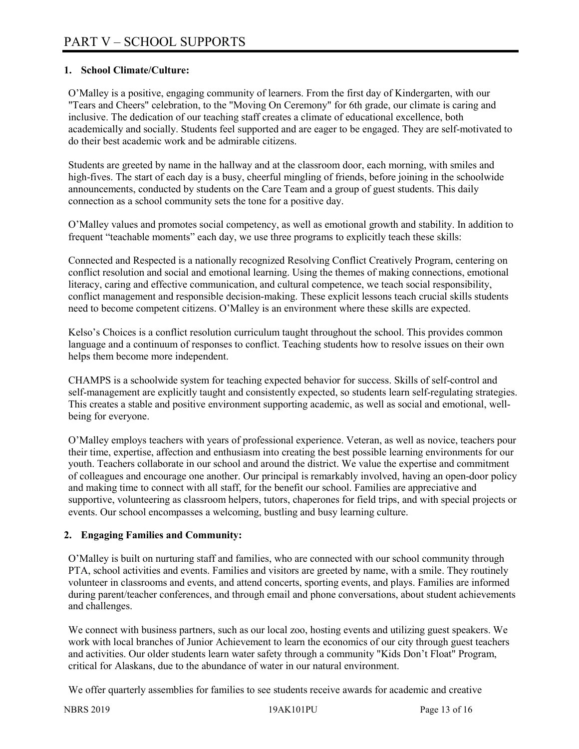# **1. School Climate/Culture:**

O'Malley is a positive, engaging community of learners. From the first day of Kindergarten, with our "Tears and Cheers" celebration, to the "Moving On Ceremony" for 6th grade, our climate is caring and inclusive. The dedication of our teaching staff creates a climate of educational excellence, both academically and socially. Students feel supported and are eager to be engaged. They are self-motivated to do their best academic work and be admirable citizens.

Students are greeted by name in the hallway and at the classroom door, each morning, with smiles and high-fives. The start of each day is a busy, cheerful mingling of friends, before joining in the schoolwide announcements, conducted by students on the Care Team and a group of guest students. This daily connection as a school community sets the tone for a positive day.

O'Malley values and promotes social competency, as well as emotional growth and stability. In addition to frequent "teachable moments" each day, we use three programs to explicitly teach these skills:

Connected and Respected is a nationally recognized Resolving Conflict Creatively Program, centering on conflict resolution and social and emotional learning. Using the themes of making connections, emotional literacy, caring and effective communication, and cultural competence, we teach social responsibility, conflict management and responsible decision-making. These explicit lessons teach crucial skills students need to become competent citizens. O'Malley is an environment where these skills are expected.

Kelso's Choices is a conflict resolution curriculum taught throughout the school. This provides common language and a continuum of responses to conflict. Teaching students how to resolve issues on their own helps them become more independent.

CHAMPS is a schoolwide system for teaching expected behavior for success. Skills of self-control and self-management are explicitly taught and consistently expected, so students learn self-regulating strategies. This creates a stable and positive environment supporting academic, as well as social and emotional, wellbeing for everyone.

O'Malley employs teachers with years of professional experience. Veteran, as well as novice, teachers pour their time, expertise, affection and enthusiasm into creating the best possible learning environments for our youth. Teachers collaborate in our school and around the district. We value the expertise and commitment of colleagues and encourage one another. Our principal is remarkably involved, having an open-door policy and making time to connect with all staff, for the benefit our school. Families are appreciative and supportive, volunteering as classroom helpers, tutors, chaperones for field trips, and with special projects or events. Our school encompasses a welcoming, bustling and busy learning culture.

# **2. Engaging Families and Community:**

O'Malley is built on nurturing staff and families, who are connected with our school community through PTA, school activities and events. Families and visitors are greeted by name, with a smile. They routinely volunteer in classrooms and events, and attend concerts, sporting events, and plays. Families are informed during parent/teacher conferences, and through email and phone conversations, about student achievements and challenges.

We connect with business partners, such as our local zoo, hosting events and utilizing guest speakers. We work with local branches of Junior Achievement to learn the economics of our city through guest teachers and activities. Our older students learn water safety through a community "Kids Don't Float" Program, critical for Alaskans, due to the abundance of water in our natural environment.

We offer quarterly assemblies for families to see students receive awards for academic and creative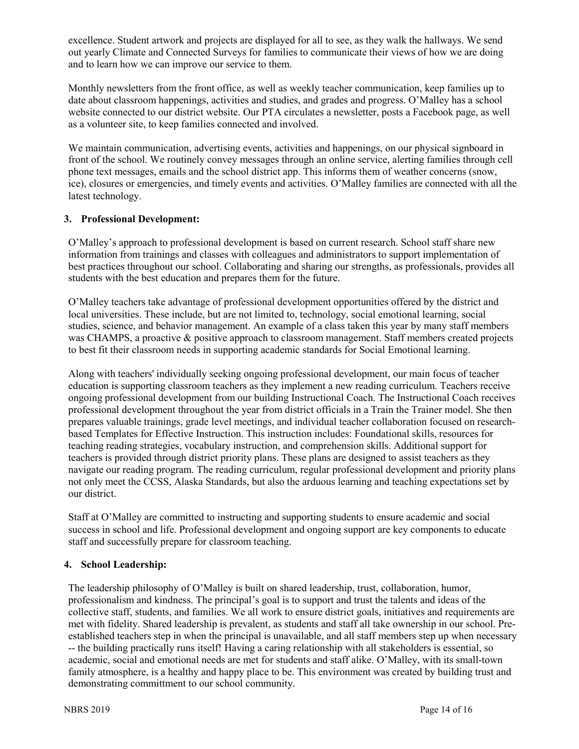excellence. Student artwork and projects are displayed for all to see, as they walk the hallways. We send out yearly Climate and Connected Surveys for families to communicate their views of how we are doing and to learn how we can improve our service to them.

Monthly newsletters from the front office, as well as weekly teacher communication, keep families up to date about classroom happenings, activities and studies, and grades and progress. O'Malley has a school website connected to our district website. Our PTA circulates a newsletter, posts a Facebook page, as well as a volunteer site, to keep families connected and involved.

We maintain communication, advertising events, activities and happenings, on our physical signboard in front of the school. We routinely convey messages through an online service, alerting families through cell phone text messages, emails and the school district app. This informs them of weather concerns (snow, ice), closures or emergencies, and timely events and activities. O'Malley families are connected with all the latest technology.

#### **3. Professional Development:**

O'Malley's approach to professional development is based on current research. School staff share new information from trainings and classes with colleagues and administrators to support implementation of best practices throughout our school. Collaborating and sharing our strengths, as professionals, provides all students with the best education and prepares them for the future.

O'Malley teachers take advantage of professional development opportunities offered by the district and local universities. These include, but are not limited to, technology, social emotional learning, social studies, science, and behavior management. An example of a class taken this year by many staff members was CHAMPS, a proactive & positive approach to classroom management. Staff members created projects to best fit their classroom needs in supporting academic standards for Social Emotional learning.

Along with teachers' individually seeking ongoing professional development, our main focus of teacher education is supporting classroom teachers as they implement a new reading curriculum. Teachers receive ongoing professional development from our building Instructional Coach. The Instructional Coach receives professional development throughout the year from district officials in a Train the Trainer model. She then prepares valuable trainings, grade level meetings, and individual teacher collaboration focused on researchbased Templates for Effective Instruction. This instruction includes: Foundational skills, resources for teaching reading strategies, vocabulary instruction, and comprehension skills. Additional support for teachers is provided through district priority plans. These plans are designed to assist teachers as they navigate our reading program. The reading curriculum, regular professional development and priority plans not only meet the CCSS, Alaska Standards, but also the arduous learning and teaching expectations set by our district.

Staff at O'Malley are committed to instructing and supporting students to ensure academic and social success in school and life. Professional development and ongoing support are key components to educate staff and successfully prepare for classroom teaching.

# **4. School Leadership:**

The leadership philosophy of O'Malley is built on shared leadership, trust, collaboration, humor, professionalism and kindness. The principal's goal is to support and trust the talents and ideas of the collective staff, students, and families. We all work to ensure district goals, initiatives and requirements are met with fidelity. Shared leadership is prevalent, as students and staff all take ownership in our school. Preestablished teachers step in when the principal is unavailable, and all staff members step up when necessary -- the building practically runs itself! Having a caring relationship with all stakeholders is essential, so academic, social and emotional needs are met for students and staff alike. O'Malley, with its small-town family atmosphere, is a healthy and happy place to be. This environment was created by building trust and demonstrating committment to our school community.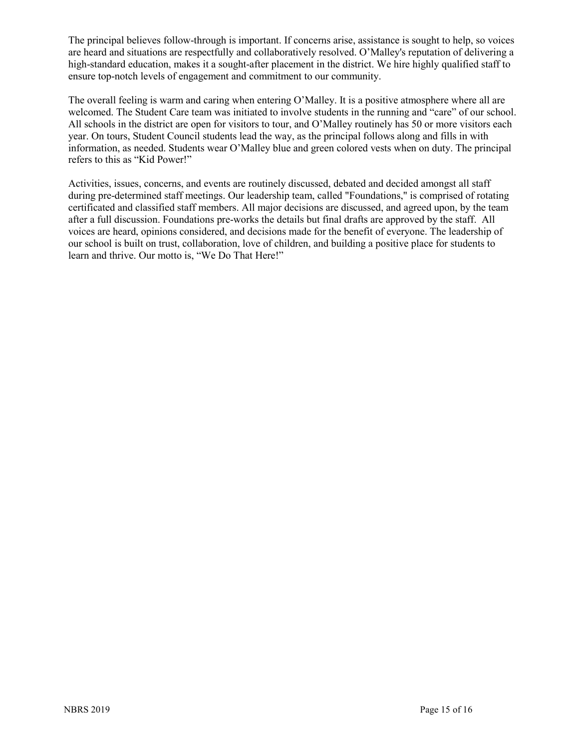The principal believes follow-through is important. If concerns arise, assistance is sought to help, so voices are heard and situations are respectfully and collaboratively resolved. O'Malley's reputation of delivering a high-standard education, makes it a sought-after placement in the district. We hire highly qualified staff to ensure top-notch levels of engagement and commitment to our community.

The overall feeling is warm and caring when entering O'Malley. It is a positive atmosphere where all are welcomed. The Student Care team was initiated to involve students in the running and "care" of our school. All schools in the district are open for visitors to tour, and O'Malley routinely has 50 or more visitors each year. On tours, Student Council students lead the way, as the principal follows along and fills in with information, as needed. Students wear O'Malley blue and green colored vests when on duty. The principal refers to this as "Kid Power!"

Activities, issues, concerns, and events are routinely discussed, debated and decided amongst all staff during pre-determined staff meetings. Our leadership team, called "Foundations," is comprised of rotating certificated and classified staff members. All major decisions are discussed, and agreed upon, by the team after a full discussion. Foundations pre-works the details but final drafts are approved by the staff. All voices are heard, opinions considered, and decisions made for the benefit of everyone. The leadership of our school is built on trust, collaboration, love of children, and building a positive place for students to learn and thrive. Our motto is, "We Do That Here!"